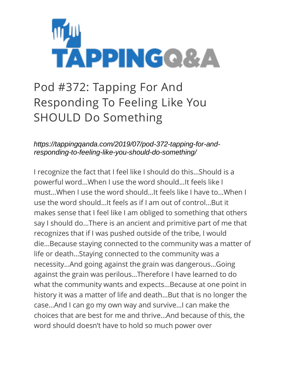

## Pod #372: Tapping For And Responding To Feeling Like You SHOULD Do Something

*https://tappingqanda.com/2019/07/pod-372-tapping-for-andresponding-to-feeling-like-you-should-do-something/*

I recognize the fact that I feel like I should do this…Should is a powerful word…When I use the word should…It feels like I must…When I use the word should…It feels like I have to…When I use the word should…It feels as if I am out of control…But it makes sense that I feel like I am obliged to something that others say I should do…There is an ancient and primitive part of me that recognizes that if I was pushed outside of the tribe, I would die…Because staying connected to the community was a matter of life or death…Staying connected to the community was a necessity…And going against the grain was dangerous…Going against the grain was perilous…Therefore I have learned to do what the community wants and expects…Because at one point in history it was a matter of life and death…But that is no longer the case…And I can go my own way and survive…I can make the choices that are best for me and thrive…And because of this, the word should doesn't have to hold so much power over